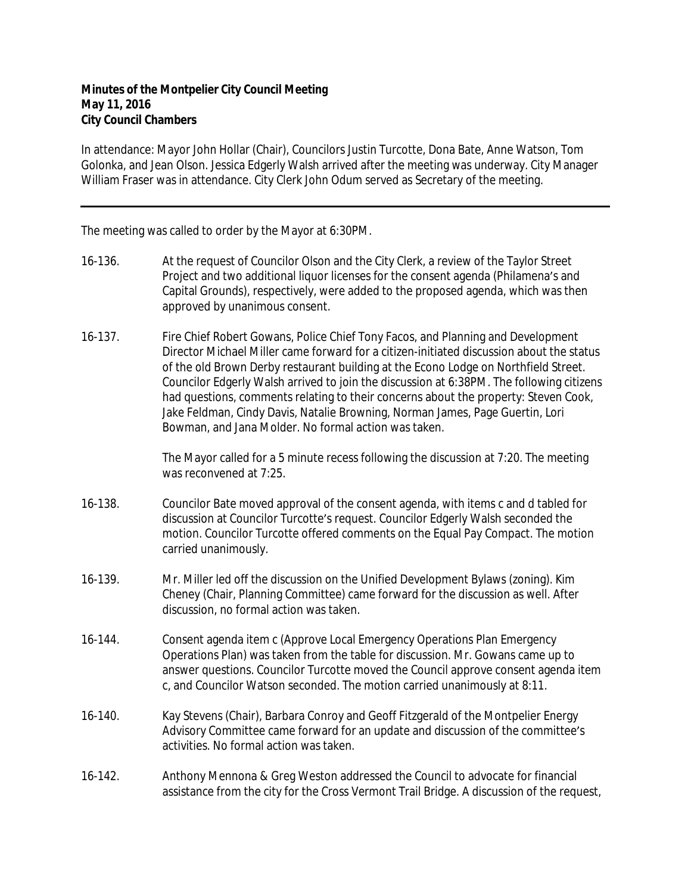In attendance: Mayor John Hollar (Chair), Councilors Justin Turcotte, Dona Bate, Anne Watson, Tom Golonka, and Jean Olson. Jessica Edgerly Walsh arrived after the meeting was underway. City Manager William Fraser was in attendance. City Clerk John Odum served as Secretary of the meeting.

The meeting was called to order by the Mayor at 6:30PM.

- 16-136. At the request of Councilor Olson and the City Clerk, a review of the Taylor Street Project and two additional liquor licenses for the consent agenda (Philamena's and Capital Grounds), respectively, were added to the proposed agenda, which was then approved by unanimous consent.
- 16-137. Fire Chief Robert Gowans, Police Chief Tony Facos, and Planning and Development Director Michael Miller came forward for a citizen-initiated discussion about the status of the old Brown Derby restaurant building at the Econo Lodge on Northfield Street. Councilor Edgerly Walsh arrived to join the discussion at 6:38PM. The following citizens had questions, comments relating to their concerns about the property: Steven Cook, Jake Feldman, Cindy Davis, Natalie Browning, Norman James, Page Guertin, Lori Bowman, and Jana Molder. No formal action was taken.

The Mayor called for a 5 minute recess following the discussion at 7:20. The meeting was reconvened at 7:25.

- 16-138. Councilor Bate moved approval of the consent agenda, with items c and d tabled for discussion at Councilor Turcotte's request. Councilor Edgerly Walsh seconded the motion. Councilor Turcotte offered comments on the Equal Pay Compact. The motion carried unanimously.
- 16-139. Mr. Miller led off the discussion on the Unified Development Bylaws (zoning). Kim Cheney (Chair, Planning Committee) came forward for the discussion as well. After discussion, no formal action was taken.
- 16-144. Consent agenda item c (Approve Local Emergency Operations Plan Emergency Operations Plan) was taken from the table for discussion. Mr. Gowans came up to answer questions. Councilor Turcotte moved the Council approve consent agenda item c, and Councilor Watson seconded. The motion carried unanimously at 8:11.
- 16-140. Kay Stevens (Chair), Barbara Conroy and Geoff Fitzgerald of the Montpelier Energy Advisory Committee came forward for an update and discussion of the committee's activities. No formal action was taken.
- 16-142. Anthony Mennona & Greg Weston addressed the Council to advocate for financial assistance from the city for the Cross Vermont Trail Bridge. A discussion of the request,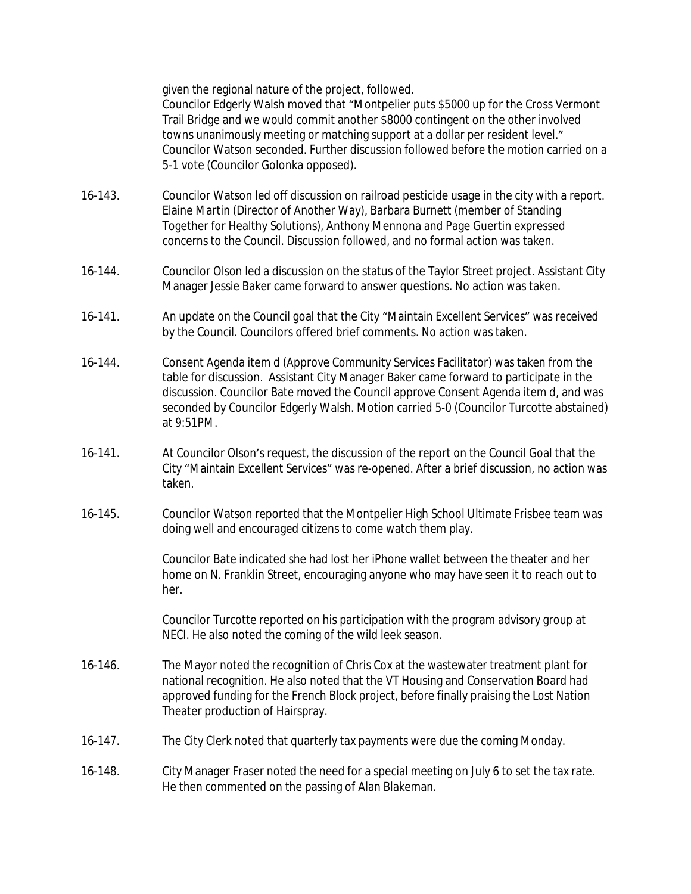given the regional nature of the project, followed.

Councilor Edgerly Walsh moved that "Montpelier puts \$5000 up for the Cross Vermont Trail Bridge and we would commit another \$8000 contingent on the other involved towns unanimously meeting or matching support at a dollar per resident level." Councilor Watson seconded. Further discussion followed before the motion carried on a 5-1 vote (Councilor Golonka opposed).

- 16-143. Councilor Watson led off discussion on railroad pesticide usage in the city with a report. Elaine Martin (Director of Another Way), Barbara Burnett (member of Standing Together for Healthy Solutions), Anthony Mennona and Page Guertin expressed concerns to the Council. Discussion followed, and no formal action was taken.
- 16-144. Councilor Olson led a discussion on the status of the Taylor Street project. Assistant City Manager Jessie Baker came forward to answer questions. No action was taken.
- 16-141. An update on the Council goal that the City "Maintain Excellent Services" was received by the Council. Councilors offered brief comments. No action was taken.
- 16-144. Consent Agenda item d (Approve Community Services Facilitator) was taken from the table for discussion. Assistant City Manager Baker came forward to participate in the discussion. Councilor Bate moved the Council approve Consent Agenda item d, and was seconded by Councilor Edgerly Walsh. Motion carried 5-0 (Councilor Turcotte abstained) at 9:51PM.
- 16-141. At Councilor Olson's request, the discussion of the report on the Council Goal that the City "Maintain Excellent Services" was re-opened. After a brief discussion, no action was taken.
- 16-145. Councilor Watson reported that the Montpelier High School Ultimate Frisbee team was doing well and encouraged citizens to come watch them play.

Councilor Bate indicated she had lost her iPhone wallet between the theater and her home on N. Franklin Street, encouraging anyone who may have seen it to reach out to her.

Councilor Turcotte reported on his participation with the program advisory group at NECI. He also noted the coming of the wild leek season.

- 16-146. The Mayor noted the recognition of Chris Cox at the wastewater treatment plant for national recognition. He also noted that the VT Housing and Conservation Board had approved funding for the French Block project, before finally praising the Lost Nation Theater production of Hairspray.
- 16-147. The City Clerk noted that quarterly tax payments were due the coming Monday.
- 16-148. City Manager Fraser noted the need for a special meeting on July 6 to set the tax rate. He then commented on the passing of Alan Blakeman.